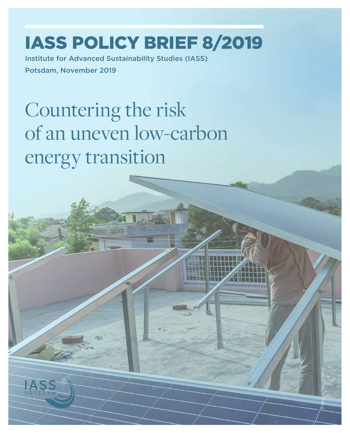## IASS POLICY BRIEF 8/2019

Institute for Advanced Sustainability Studies (IASS) Potsdam, November 2019

# Countering the risk of an uneven low-carbon energy transition

© istock/NicoElNino

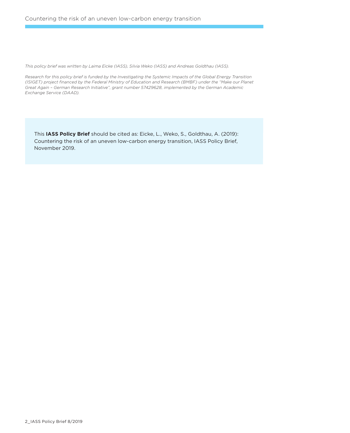*This policy brief was written by Laima Eicke (IASS), Silvia Weko (IASS) and Andreas Goldthau (IASS).*

*Research for this policy brief is funded by the Investigating the Systemic Impacts of the Global Energy Transition (ISIGET) project financed by the Federal Ministry of Education and Research (BMBF) under the "Make our Planet Great Again – German Research Initiative", grant number 57429628, implemented by the German Academic Exchange Service (DAAD).*

This **IASS Policy Brief** should be cited as: Eicke, L., Weko, S., Goldthau, A. (2019): Countering the risk of an uneven low-carbon energy transition, IASS Policy Brief, November 2019.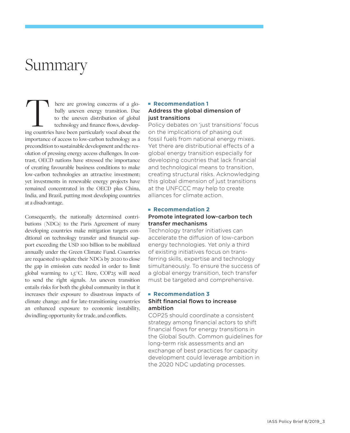### Summary

here are growing concerns of a globally uneven energy transition. Due to the uneven distribution of global technology and finance flows, develop-I here are growing concerns of a globally uneven energy transition. Due to the uneven distribution of global technology and finance flows, developing countries have been particularly vocal about the importance of access to low-carbon technology as a precondition to sustainable development and the resolution of pressing energy access challenges. In contrast, OECD nations have stressed the importance of creating favourable business conditions to make low-carbon technologies an attractive investment; yet investments in renewable energy projects have remained concentrated in the OECD plus China, India, and Brazil, putting most developing countries at a disadvantage.

Consequently, the nationally determined contributions (NDCs) to the Paris Agreement of many developing countries make mitigation targets conditional on technology transfer and financial support exceeding the USD 100 billion to be mobilized annually under the Green Climate Fund. Countries are requested to update their NDCs by 2020 to close the gap in emission cuts needed in order to limit global warming to 1.5 ° C. Here, COP25 will need to send the right signals. An uneven transition entails risks for both the global community in that it increases their exposure to disastrous impacts of climate change; and for late-transitioning countries an enhanced exposure to economic instability, dwindling opportunity for trade, and conflicts.

#### **Recommendation 1** Address the global dimension of just transitions

Policy debates on 'just transitions' focus on the implications of phasing out fossil fuels from national energy mixes. Yet there are distributional effects of a global energy transition especially for developing countries that lack financial and technological means to transition, creating structural risks. Acknowledging this global dimension of just transitions at the UNFCCC may help to create alliances for climate action.

#### **Recommendation 2** Promote integrated low-carbon tech transfer mechanisms

Technology transfer initiatives can accelerate the diffusion of low-carbon energy technologies. Yet only a third of existing initiatives focus on transferring skills, expertise and technology simultaneously. To ensure the success of a global energy transition, tech transfer must be targeted and comprehensive.

#### **Recommendation 3**

#### Shift financial flows to increase ambition

COP25 should coordinate a consistent strategy among financial actors to shift financial flows for energy transitions in the Global South. Common guidelines for long-term risk assessments and an exchange of best practices for capacity development could leverage ambition in the 2020 NDC updating processes.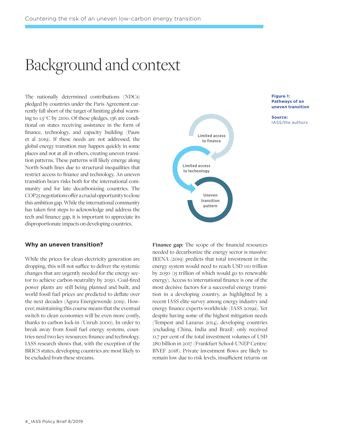### Background and context

The nationally determined contributions (NDCs) pledged by countries under the Paris Agreement currently fall short of the target of limiting global warming to 1.5 ° C by 2100. Of these pledges, 136 are conditional on states receiving assistance in the form of finance, technology, and capacity building (Pauw et al 2019). If these needs are not addressed, the global energy transition may happen quickly in some places and not at all in others, creating uneven transition patterns. These patterns will likely emerge along North-South lines due to structural inequalities that restrict access to finance and technology. An uneven transition bears risks both for the international community and for late decarbonizing countries. The COP25 negotiations offer a crucial opportunity to close this ambition gap. While the international community has taken first steps to acknowledge and address the tech and finance gap, it is important to appreciate its disproportionate impacts on developing countries.

#### **Why an uneven transition?**

While the prices for clean electricity generation are dropping, this will not suffice to deliver the systemic changes that are urgently needed for the energy sector to achieve carbon-neutrality by 2050. Coal-fired power plants are still being planned and built, and world fossil fuel prices are predicted to deflate over the next decades (Agora Energiewende 2019). However, maintaining this course means that the eventual switch to clean economies will be even more costly, thanks to carbon lock-in (Unruh 2000). In order to break away from fossil fuel energy systems, countries need two key resources: finance and technology. IASS research shows that, with the exception of the BRICS states, developing countries are most likely to be excluded from these streams.





**Source:**  IASS/the authors

**Finance gap:** The scope of the financial resources needed to decarbonize the energy sector is massive: IRENA (2019) predicts that total investment in the energy system would need to reach USD 110 trillion by 2050 (15 trillion of which would go to renewable energy). Access to international finance is one of the most decisive factors for a successful energy transition in a developing country, as highlighted by a recent IASS elite survey among energy industry and energy finance experts worldwide (IASS 2019a). Yet despite having some of the highest mitigation needs (Tempest and Lazarus 2014), developing countries (excluding China, India and Brazil) only received 11.7 per cent of the total investment volumes of USD 280 billion in 2017 (Frankfurt School-UNEP Centre/ BNEF 2018). Private investment flows are likely to remain low due to risk levels, insufficient returns on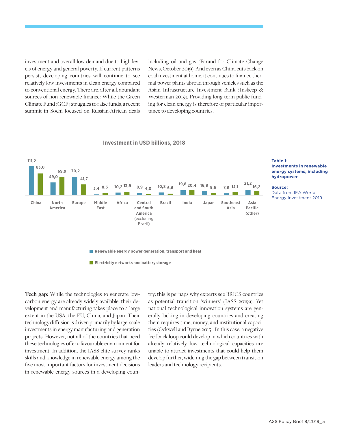investment and overall low demand due to high levels of energy and general poverty. If current patterns persist, developing countries will continue to see relatively low investments in clean energy compared to conventional energy. There are, after all, abundant sources of non-renewable finance: While the Green Climate Fund (GCF) struggles to raise funds, a recent summit in Sochi focused on Russian-African deals

including oil and gas (Farand for Climate Change News, October 2019). And even as China cuts back on coal investment at home, it continues to finance thermal power plants abroad through vehicles such as the Asian Infrastructure Investment Bank (Inskeep & Westerman 2019). Providing long-term public funding for clean energy is therefore of particular importance to developing countries.



#### **Investment in USD billions, 2018**

**Tech gap:** While the technologies to generate lowcarbon energy are already widely available, their development and manufacturing takes place to a large extent in the USA, the EU, China, and Japan. Their technology diffusion is driven primarily by large-scale investments in energy manufacturing and generation projects. However, not all of the countries that need these technologies offer a favourable environment for investment. In addition, the IASS elite survey ranks skills and knowledge in renewable energy among the five most important factors for investment decisions in renewable energy sources in a developing country; this is perhaps why experts see BRICS countries as potential transition 'winners' (IASS 2019a). Yet national technological innovation systems are generally lacking in developing countries and creating them requires time, money, and institutional capacities (Ockwell and Byrne 2015). In this case, a negative feedback loop could develop in which countries with already relatively low technological capacities are unable to attract investments that could help them develop further, widening the gap between transition leaders and technology recipients.

### **energy systems, including hydropower**

Data from IEA World Energy Investment 2019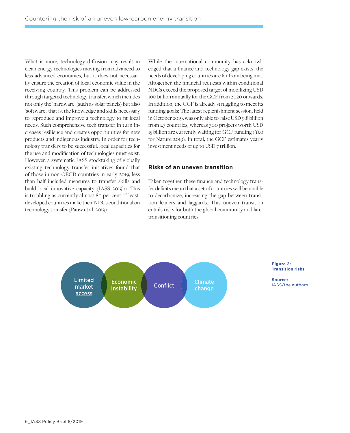What is more, technology diffusion may result in clean energy technologies moving from advanced to less advanced economies, but it does not necessarily ensure the creation of local economic value in the receiving country. This problem can be addressed through targeted technology transfer, which includes not only the 'hardware' (such as solar panels) but also 'software', that is, the knowledge and skills necessary to reproduce and improve a technology to fit local needs. Such comprehensive tech transfer in turn increases resilience and creates opportunities for new products and indigenous industry. In order for technology transfers to be successful, local capacities for the use and modification of technologies must exist. However, a systematic IASS stocktaking of globally existing technology transfer initiatives found that of those in non-OECD countries in early 2019, less than half included measures to transfer skills and build local innovative capacity (IASS 2019b). This is troubling as currently almost 80 per cent of leastdeveloped countries make their NDCs conditional on technology transfer (Pauw et al. 2019).

While the international community has acknowledged that a finance and technology gap exists, the needs of developing countries are far from being met. Altogether, the financial requests within conditional NDCs exceed the proposed target of mobilizing USD 100 billion annually for the GCF from 2020 onwards. In addition, the GCF is already struggling to meet its funding goals: The latest replenishment session, held in October 2019, was only able to raise USD 9.8 billion from 27 countries, whereas 300 projects worth USD 15 billion are currently waiting for GCF funding (Yeo for Nature 2019). In total, the GCF estimates yearly investment needs of up to USD 7 trillion.

#### **Risks of an uneven transition**

Taken together, these finance and technology transfer deficits mean that a set of countries will be unable to decarbonize, increasing the gap between transition leaders and laggards. This uneven transition entails risks for both the global community and latetransitioning countries.

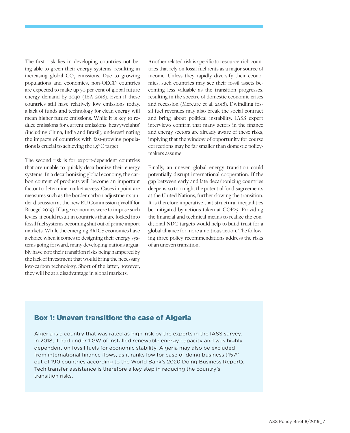The first risk lies in developing countries not being able to green their energy systems, resulting in increasing global CO<sub>2</sub> emissions. Due to growing populations and economies, non-OECD countries are expected to make up 70 per cent of global future energy demand by 2040 (IEA 2018). Even if these countries still have relatively low emissions today, a lack of funds and technology for clean energy will mean higher future emissions. While it is key to reduce emissions for current emissions 'heavyweights' (including China, India and Brazil), underestimating the impacts of countries with fast-growing populations is crucial to achieving the 1.5 ° C target.

The second risk is for export-dependent countries that are unable to quickly decarbonize their energy systems. In a decarbonizing global economy, the carbon content of products will become an important factor to determine market access. Cases in point are measures such as the border carbon adjustments under discussion at the new EU Commission (Wolff for Bruegel 2019). If large economies were to impose such levies, it could result in countries that are locked into fossil fuel systems becoming shut out of prime import markets. While the emerging BRICS economies have a choice when it comes to designing their energy systems going forward, many developing nations arguably have not; their transition risks being hampered by the lack of investment that would bring the necessary low-carbon technology. Short of the latter, however, they will be at a disadvantage in global markets.

Another related risk is specific to resource-rich countries that rely on fossil fuel rents as a major source of income. Unless they rapidly diversify their economies, such countries may see their fossil assets becoming less valuable as the transition progresses, resulting in the spectre of domestic economic crises and recession (Mercure et al. 2018). Dwindling fossil fuel revenues may also break the social contract and bring about political instability. IASS expert interviews confirm that many actors in the finance and energy sectors are already aware of these risks, implying that the window of opportunity for course corrections may be far smaller than domestic policymakers assume.

Finally, an uneven global energy transition could potentially disrupt international cooperation. If the gap between early and late decarbonizing countries deepens, so too might the potential for disagreements at the United Nations, further slowing the transition. It is therefore imperative that structural inequalities be mitigated by actions taken at COP25. Providing the financial and technical means to realize the conditional NDC targets would help to build trust for a global alliance for more ambitious action. The following three policy recommendations address the risks of an uneven transition.

### Box 1: Uneven transition: the case of Algeria

Algeria is a country that was rated as high-risk by the experts in the IASS survey. In 2018, it had under 1 GW of installed renewable energy capacity and was highly dependent on fossil fuels for economic stability. Algeria may also be excluded from international finance flows, as it ranks low for ease of doing business ( $157<sup>th</sup>$ out of 190 countries according to the World Bank's 2020 Doing Business Report). Tech transfer assistance is therefore a key step in reducing the country's transition risks.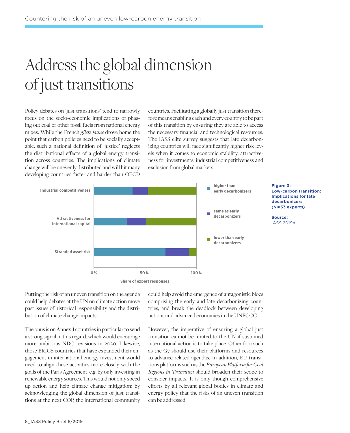## Address the global dimension of just transitions

Policy debates on 'just transitions' tend to narrowly focus on the socio-economic implications of phasing out coal or other fossil fuels from national energy mixes. While the French *gilets jaune* drove home the point that carbon policies need to be socially acceptable, such a national definition of 'justice' neglects the distributional effects of a global energy transition across countries. The implications of climate change will be unevenly distributed and will hit many developing countries faster and harder than OECD

countries. Facilitating a globally just transition therefore means enabling each and every country to be part of this transition by ensuring they are able to access the necessary financial and technological resources. The IASS elite survey suggests that late decarbonizing countries will face significantly higher risk levels when it comes to economic stability, attractiveness for investments, industrial competitiveness and exclusion from global markets.



**Figure 3: Low-carbon transition: Implications for late decarbonizers (N = 53 experts)**

**Source:**  IASS 2019a

Putting the risk of an uneven transition on the agenda could help debates at the UN on climate action move past issues of historical responsibility and the distribution of climate change impacts.

The onus is on Annex-I countries in particular to send a strong signal in this regard, which would encourage more ambitious NDC revisions in 2020. Likewise, those BRICS countries that have expanded their engagement in international energy investment would need to align these activities more closely with the goals of the Paris Agreement, e.g. by only investing in renewable energy sources. This would not only speed up action and help climate change mitigation; by acknowledging the global dimension of just transitions at the next COP, the international community

could help avoid the emergence of antagonistic blocs comprising the early and late decarbonizing countries, and break the deadlock between developing nations and advanced economies in the UNFCCC.

However, the imperative of ensuring a global just transition cannot be limited to the UN if sustained international action is to take place. Other fora such as the G7 should use their platforms and resources to advance related agendas. In addition, EU transitions platforms such as the *European Platform for Coal Regions in Transition* should broaden their scope to consider impacts. It is only though comprehensive efforts by all relevant global bodies in climate and energy policy that the risks of an uneven transition can be addressed.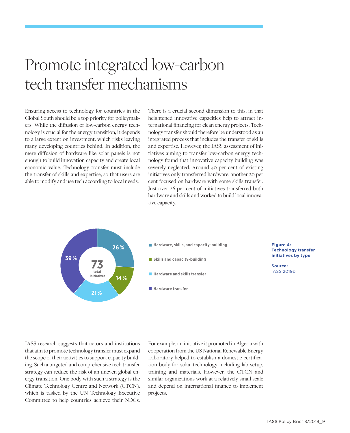## Promote integrated low-carbon tech transfer mechanisms

Ensuring access to technology for countries in the Global South should be a top priority for policymakers. While the diffusion of low-carbon energy technology is crucial for the energy transition, it depends to a large extent on investment, which risks leaving many developing countries behind. In addition, the mere diffusion of hardware like solar panels is not enough to build innovation capacity and create local economic value. Technology transfer must include the transfer of skills and expertise, so that users are able to modify and use tech according to local needs.

There is a crucial second dimension to this, in that heightened innovative capacities help to attract international financing for clean energy projects. Technology transfer should therefore be understood as an integrated process that includes the transfer of skills and expertise. However, the IASS assessment of initiatives aiming to transfer low-carbon energy technology found that innovative capacity building was severely neglected. Around 40 per cent of existing initiatives only transferred hardware; another 20 per cent focused on hardware with some skills transfer. Just over 26 per cent of initiatives transferred both hardware and skills and worked to build local innovative capacity.



IASS research suggests that actors and institutions that aim to promote technology transfer must expand the scope of their activities to support capacity building. Such a targeted and comprehensive tech transfer strategy can reduce the risk of an uneven global energy transition. One body with such a strategy is the Climate Technology Centre and Network (CTCN), which is tasked by the UN Technology Executive Committee to help countries achieve their NDCs.

For example, an initiative it promoted in Algeria with cooperation from the US National Renewable Energy Laboratory helped to establish a domestic certification body for solar technology including lab setup, training and materials. However, the CTCN and similar organizations work at a relatively small scale and depend on international finance to implement projects.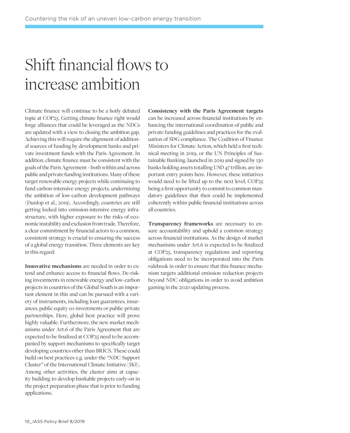## Shift financial flows to increase ambition

Climate finance will continue to be a hotly debated topic at COP25. Getting climate finance right would forge alliances that could be leveraged as the NDCs are updated with a view to closing the ambition gap. Achieving this will require the alignment of additional sources of funding by development banks and private investment funds with the Paris Agreement. In addition, climate finance must be consistent with the goals of the Paris Agreement – both within and across public and private funding institutions. Many of these target renewable energy projects while continuing to fund carbon-intensive energy projects, undermining the ambition of low-carbon development pathways (Dunlop et al., 2019). Accordingly, countries are still getting locked into emission-intensive energy infrastructure, with higher exposure to the risks of economic instability and exclusion from trade. Therefore, a clear commitment by financial actors to a common, consistent strategy is crucial to ensuring the success of a global energy transition. Three elements are key in this regard:

**Innovative mechanisms** are needed in order to extend and enhance access to financial flows. De-risking investments in renewable energy and low-carbon projects in countries of the Global South is an important element in this and can be pursued with a variety of instruments, including loan guarantees, insurances, public equity co-investments or public-private partnerships. Here, global best practice will prove highly valuable. Furthermore, the new market mechanisms under Art.6 of the Paris Agreement that are expected to be finalized at COP25 need to be accompanied by support mechanisms to specifically target developing countries other than BRICS. These could build on best practices e.g. under the "NDC Support Cluster" of the International Climate Initiative (IKI). Among other activities, the cluster aims at capacity building to develop bankable projects early-on in the project preparation phase that is prior to funding applications.

**Consistency with the Paris Agreement targets** can be increased across financial institutions by enhancing the international coordination of public and private funding guidelines and practices for the evaluation of SDG compliance. The Coalition of Finance Ministers for Climate Action, which held a first technical meeting in 2019, or the UN Principles of Sustainable Banking, launched in 2019 and signed by 130 banks holding assets totalling USD 47 trillion, are important entry points here. However, these initiatives would need to be lifted up to the next level, COP25 being a first opportunity to commit to common mandatory guidelines that then could be implemented coherently within public financial institutions across all countries.

**Transparency frameworks** are necessary to ensure accountability and uphold a common strategy across financial institutions. As the design of market mechanisms under Art.6 is expected to be finalized at COP25, transparency regulations and reporting obligations need to be incorporated into the Paris rulebook in order to ensure that this finance mechanism targets additional emission reduction projects beyond NDC obligations in order to avoid ambition gaming in the 2020 updating process.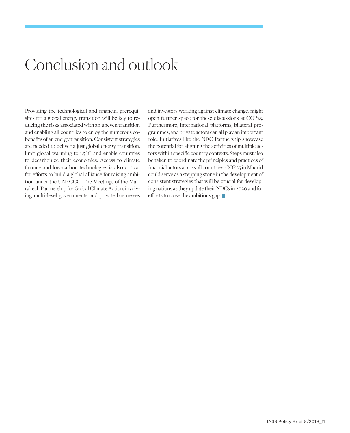### Conclusion and outlook

Providing the technological and financial prerequisites for a global energy transition will be key to reducing the risks associated with an uneven transition and enabling all countries to enjoy the numerous cobenefits of an energy transition. Consistent strategies are needed to deliver a just global energy transition, limit global warming to  $1.5^{\circ}$ C and enable countries to decarbonize their economies. Access to climate finance and low-carbon technologies is also critical for efforts to build a global alliance for raising ambition under the UNFCCC. The Meetings of the Marrakech Partnership for Global Climate Action, involving multi-level governments and private businesses and investors working against climate change, might open further space for these discussions at COP25. Furthermore, international platforms, bilateral programmes, and private actors can all play an important role. Initiatives like the NDC Partnership showcase the potential for aligning the activities of multiple actors within specific country contexts. Steps must also be taken to coordinate the principles and practices of financial actors across all countries. COP25 in Madrid could serve as a stepping stone in the development of consistent strategies that will be crucial for developing nations as they update their NDCs in 2020 and for efforts to close the ambitions gap.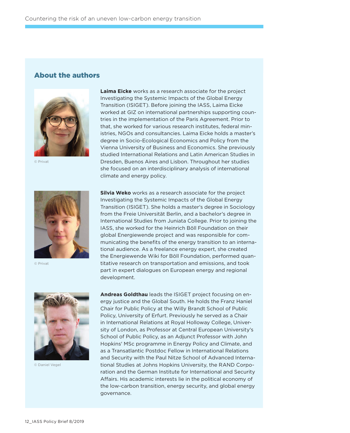### About the authors



© Privat

**Laima Eicke** works as a research associate for the project Investigating the Systemic Impacts of the Global Energy Transition (ISIGET). Before joining the IASS, Laima Eicke worked at GIZ on international partnerships supporting countries in the implementation of the Paris Agreement. Prior to that, she worked for various research institutes, federal ministries, NGOs and consultancies. Laima Eicke holds a master's degree in Socio-Ecological Economics and Policy from the Vienna University of Business and Economics. She previously studied International Relations and Latin American Studies in Dresden, Buenos Aires and Lisbon. Throughout her studies she focused on an interdisciplinary analysis of international climate and energy policy.



© Privat

**Silvia Weko** works as a research associate for the project Investigating the Systemic Impacts of the Global Energy Transition (ISIGET). She holds a master's degree in Sociology from the Freie Universität Berlin, and a bachelor's degree in International Studies from Juniata College. Prior to joining the IASS, she worked for the Heinrich Böll Foundation on their global Energiewende project and was responsible for communicating the benefits of the energy transition to an international audience. As a freelance energy expert, she created the Energiewende Wiki for Böll Foundation, performed quantitative research on transportation and emissions, and took part in expert dialogues on European energy and regional development.



© Daniel Vegel

**Andreas Goldthau** leads the ISIGET project focusing on energy justice and the Global South. He holds the Franz Haniel Chair for Public Policy at the Willy Brandt School of Public Policy, University of Erfurt. Previously he served as a Chair in International Relations at Royal Holloway College, University of London, as Professor at Central European University's School of Public Policy, as an Adjunct Professor with John Hopkins' MSc programme in Energy Policy and Climate, and as a Transatlantic Postdoc Fellow in International Relations and Security with the Paul Nitze School of Advanced International Studies at Johns Hopkins University, the RAND Corporation and the German Institute for International and Security Affairs. His academic interests lie in the political economy of the low-carbon transition, energy security, and global energy governance.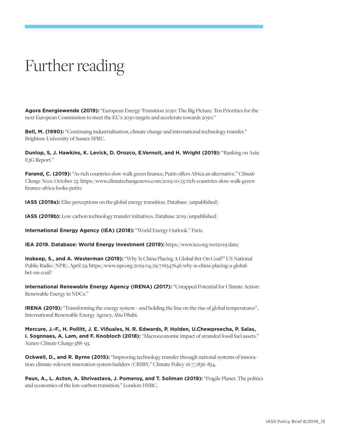## Further reading

**Agora Energiewende (2019):** "European Energy Transition 2030: The Big Picture. Ten Priorities for the next European Commission to meet the EU's 2030 targets and accelerate towards 2050."

**Bell, M. (1990):** "Continuing industrialisation, climate change and international technology transfer." Brighton: University of Sussex SPRU.

**Dunlop, S, J. Hawkins, K. Levick, D. Orozco, E.Vernoit, and H. Wright (2019):** "Banking on Asia: E3G Report."

**Farand, C. (2019):** "As rich countries slow walk green finance, Putin offers Africa an alternative." *Climate Change News*, October 25. https://www.climatechangenews.com/2019/10/25/rich-countries-slow-walk-greenfinance-africa-looks-putin/

**IASS (2019a):** Elite perceptions on the global energy transition. Database (unpublished)

**IASS (2019b):** Low carbon technology transfer initiatives. Database 2019 (unpublished)

**International Energy Agency (IEA) (2018):** "World Energy Outlook." Paris.

**IEA 2019. Database: World Energy Investment (2019):** https://www.iea.org/wei2019/data/

**Inskeep, S., and A. Westerman (2019):** "Why Is China Placing A Global Bet On Coal?" US National Public Radio (NPR), April 29, https://www.npr.org/2019/04/29/716347646/why-is-china-placing-a-globalbet-on-coal?

**International Renewable Energy Agency (IRENA) (2017):** "Untapped Potential for Climate Action: Renewable Energy in NDCs."

**IRENA (2019):** "Transforming the energy system – and holding the line on the rise of global temperatures", International Renewable Energy Agency, Abu Dhabi.

**Mercure, J.-F., H. Pollitt, J. E. Viñuales, N. R. Edwards, P. Holden, U.Chewpreecha, P. Salas, I. Sognnaes, A. Lam, and F. Knobloch (2018):** "Macroeconomic impact of stranded fossil fuel assets." *Nature Climate Change* 588 - 93.

**Ockwell, D., and R. Byrne (2015):** "Improving technology transfer through national systems of innovation: climate-relevent innovation system builders (CRIBS)" Climate Policy 16(7):836 - 854.

**Paun, A., L. Acton, A. Shrivastava, J. Pomeroy, and T. Soliman (2019):** "Fragile Planet. The politics and economics of the low-carbon transition." London: HSBC.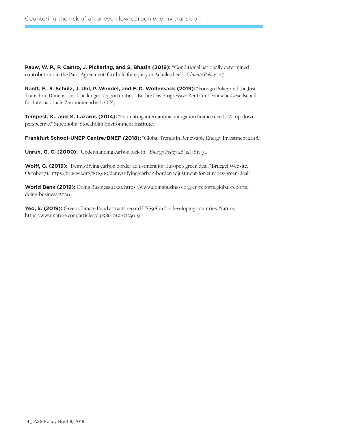**Pauw, W. P., P. Castro, J. Pickering, and S. Bhasin (2019):** "Conditional nationally determined contributions in the Paris Agreement: foothold for equity or Achilles heel?" *Climate Policy* 1:17.

**Ranft, F., S. Schulz, J. Uhl, P. Wendel, and F. D. Wollensack (2019):** "Foreign Policy and the Just Transition Dimensions. Challenges, Opportunities." Berlin: Das Progressive Zentrum/Deutsche Gesellschaft für Internationale Zusammenarbeit (GIZ).

**Tempest, K., and M. Lazarus (2014):** "Estimating international mitigation finance needs: A top-down perspective." Stockholm: Stockholm Environment Institute.

**Frankfurt School-UNEP Centre/BNEF (2018):** "Global Trends in Renewable Energy Investment 2018."

**Unruh, G. C. (2000):** "Understanding carbon lock-in." *Energy Policy* 28(12): 817-30.

**Wolff, G. (2019):** "Demystifying carbon border adjustment for Europe's green deal." Bruegel Website, October 31, https://bruegel.org/2019/10/demystifying-carbon-border-adjustment-for-europes-green-deal/

**World Bank (2019):** Doing Business 2020. https://www.doingbusiness.org/en/reports/global-reports/ doing-business-2020

Yeo, S. (2019): Green Climate Fund attracts record US\$9.8bn for developing countries. Nature, https://www.nature.com/articles/d41586-019-03330-9